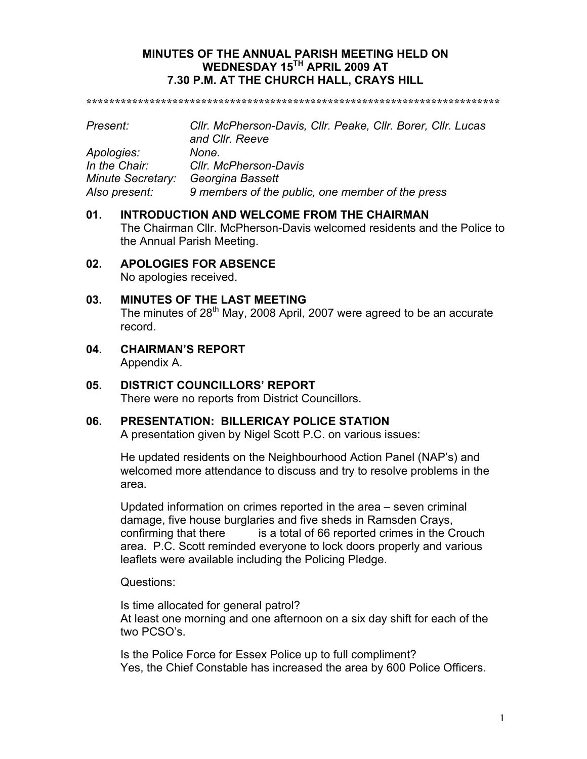## **MINUTES OF THE ANNUAL PARISH MEETING HELD ON WEDNESDAY 15TH APRIL 2009 AT 7.30 P.M. AT THE CHURCH HALL, CRAYS HILL**

**\*\*\*\*\*\*\*\*\*\*\*\*\*\*\*\*\*\*\*\*\*\*\*\*\*\*\*\*\*\*\*\*\*\*\*\*\*\*\*\*\*\*\*\*\*\*\*\*\*\*\*\*\*\*\*\*\*\*\*\*\*\*\*\*\*\*\*\*\*\*\*\***

| Present:                 | Cllr. McPherson-Davis, Cllr. Peake, Cllr. Borer, Cllr. Lucas<br>and Cllr. Reeve |
|--------------------------|---------------------------------------------------------------------------------|
| Apologies:               | None.                                                                           |
| In the Chair:            | Cllr. McPherson-Davis                                                           |
| <b>Minute Secretary:</b> | Georgina Bassett                                                                |
| Also present:            | 9 members of the public, one member of the press                                |

## **01. INTRODUCTION AND WELCOME FROM THE CHAIRMAN** The Chairman Cllr. McPherson-Davis welcomed residents and the Police to the Annual Parish Meeting.

#### **02. APOLOGIES FOR ABSENCE** No apologies received.

## **03. MINUTES OF THE LAST MEETING**

The minutes of 28<sup>th</sup> May, 2008 April, 2007 were agreed to be an accurate record.

**04. CHAIRMAN'S REPORT** Appendix A.

## **05. DISTRICT COUNCILLORS' REPORT** There were no reports from District Councillors.

## **06. PRESENTATION: BILLERICAY POLICE STATION**

A presentation given by Nigel Scott P.C. on various issues:

He updated residents on the Neighbourhood Action Panel (NAP's) and welcomed more attendance to discuss and try to resolve problems in the area.

Updated information on crimes reported in the area – seven criminal damage, five house burglaries and five sheds in Ramsden Crays, confirming that there is a total of 66 reported crimes in the Crouch area. P.C. Scott reminded everyone to lock doors properly and various leaflets were available including the Policing Pledge.

Questions:

Is time allocated for general patrol? At least one morning and one afternoon on a six day shift for each of the two PCSO's.

Is the Police Force for Essex Police up to full compliment? Yes, the Chief Constable has increased the area by 600 Police Officers.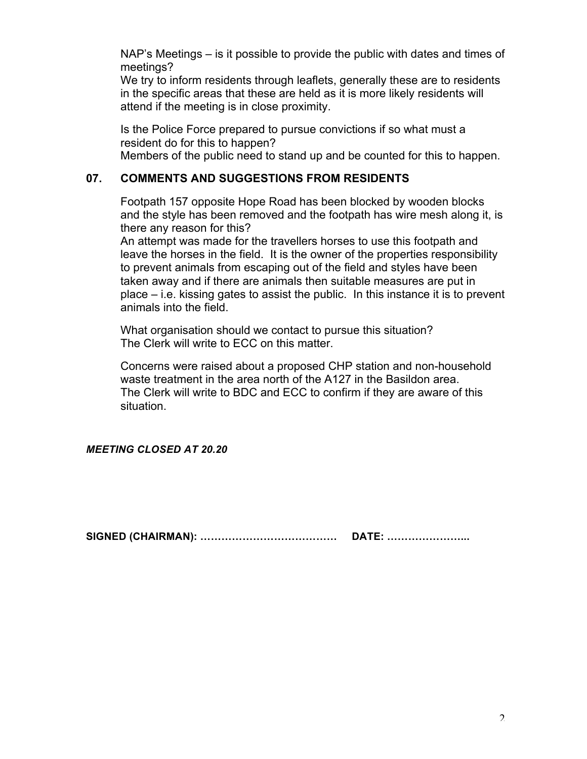NAP's Meetings – is it possible to provide the public with dates and times of meetings?

We try to inform residents through leaflets, generally these are to residents in the specific areas that these are held as it is more likely residents will attend if the meeting is in close proximity.

Is the Police Force prepared to pursue convictions if so what must a resident do for this to happen? Members of the public need to stand up and be counted for this to happen.

## **07. COMMENTS AND SUGGESTIONS FROM RESIDENTS**

Footpath 157 opposite Hope Road has been blocked by wooden blocks and the style has been removed and the footpath has wire mesh along it, is there any reason for this?

An attempt was made for the travellers horses to use this footpath and leave the horses in the field. It is the owner of the properties responsibility to prevent animals from escaping out of the field and styles have been taken away and if there are animals then suitable measures are put in place – i.e. kissing gates to assist the public. In this instance it is to prevent animals into the field.

What organisation should we contact to pursue this situation? The Clerk will write to ECC on this matter.

Concerns were raised about a proposed CHP station and non-household waste treatment in the area north of the A127 in the Basildon area. The Clerk will write to BDC and ECC to confirm if they are aware of this situation.

## *MEETING CLOSED AT 20.20*

**SIGNED (CHAIRMAN): ………………………………… DATE: …………………...**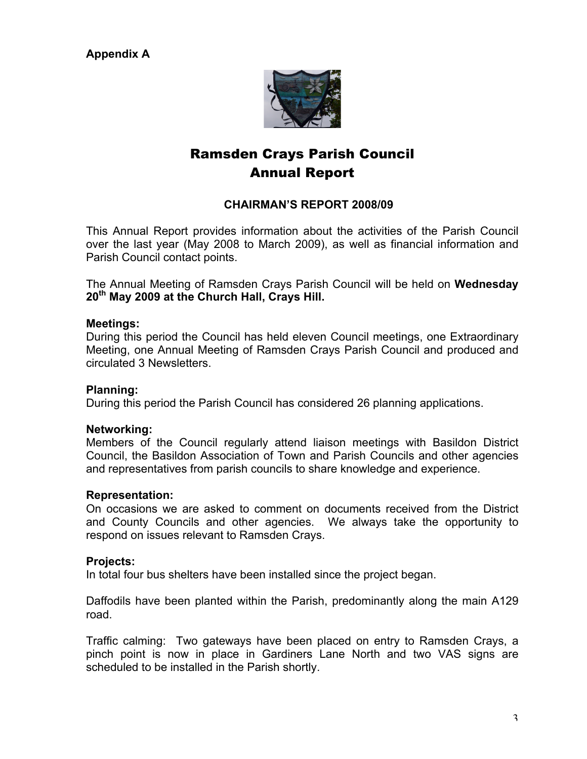**Appendix A**



# Ramsden Crays Parish Council Annual Report

## **CHAIRMAN'S REPORT 2008/09**

This Annual Report provides information about the activities of the Parish Council over the last year (May 2008 to March 2009), as well as financial information and Parish Council contact points.

The Annual Meeting of Ramsden Crays Parish Council will be held on **Wednesday 20th May 2009 at the Church Hall, Crays Hill.**

#### **Meetings:**

During this period the Council has held eleven Council meetings, one Extraordinary Meeting, one Annual Meeting of Ramsden Crays Parish Council and produced and circulated 3 Newsletters.

## **Planning:**

During this period the Parish Council has considered 26 planning applications.

#### **Networking:**

Members of the Council regularly attend liaison meetings with Basildon District Council, the Basildon Association of Town and Parish Councils and other agencies and representatives from parish councils to share knowledge and experience.

#### **Representation:**

On occasions we are asked to comment on documents received from the District and County Councils and other agencies. We always take the opportunity to respond on issues relevant to Ramsden Crays.

#### **Projects:**

In total four bus shelters have been installed since the project began.

Daffodils have been planted within the Parish, predominantly along the main A129 road.

Traffic calming: Two gateways have been placed on entry to Ramsden Crays, a pinch point is now in place in Gardiners Lane North and two VAS signs are scheduled to be installed in the Parish shortly.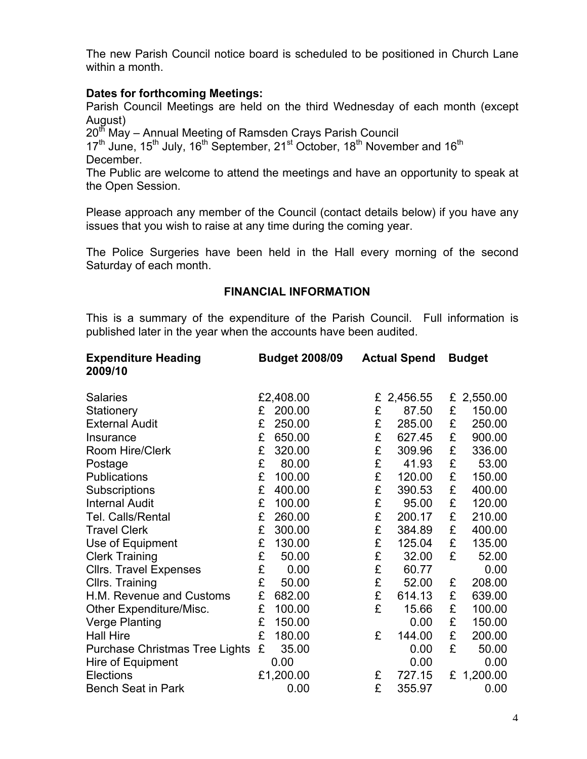The new Parish Council notice board is scheduled to be positioned in Church Lane within a month.

## **Dates for forthcoming Meetings:**

Parish Council Meetings are held on the third Wednesday of each month (except August)

20<sup>th</sup> May – Annual Meeting of Ramsden Crays Parish Council

 $17<sup>th</sup>$  June,  $15<sup>th</sup>$  July,  $16<sup>th</sup>$  September,  $21<sup>st</sup>$  October,  $18<sup>th</sup>$  November and  $16<sup>th</sup>$ December.

The Public are welcome to attend the meetings and have an opportunity to speak at the Open Session.

Please approach any member of the Council (contact details below) if you have any issues that you wish to raise at any time during the coming year.

The Police Surgeries have been held in the Hall every morning of the second Saturday of each month.

## **FINANCIAL INFORMATION**

This is a summary of the expenditure of the Parish Council. Full information is published later in the year when the accounts have been audited.

| <b>Expenditure Heading</b><br>2009/10 |   | <b>Budget 2008/09</b> |   | <b>Actual Spend</b> |   | <b>Budget</b> |
|---------------------------------------|---|-----------------------|---|---------------------|---|---------------|
| <b>Salaries</b>                       |   | £2,408.00             | £ | 2,456.55            |   | £ 2,550.00    |
| Stationery                            | £ | 200.00                | £ | 87.50               | £ | 150.00        |
| <b>External Audit</b>                 | £ | 250.00                | £ | 285.00              | £ | 250.00        |
| Insurance                             | £ | 650.00                | £ | 627.45              | £ | 900.00        |
| Room Hire/Clerk                       | £ | 320.00                | £ | 309.96              | £ | 336.00        |
| Postage                               | £ | 80.00                 | £ | 41.93               | £ | 53.00         |
| <b>Publications</b>                   | £ | 100.00                | £ | 120.00              | £ | 150.00        |
| Subscriptions                         | £ | 400.00                | £ | 390.53              | £ | 400.00        |
| <b>Internal Audit</b>                 | £ | 100.00                | £ | 95.00               | £ | 120.00        |
| Tel. Calls/Rental                     | £ | 260.00                | £ | 200.17              | £ | 210.00        |
| <b>Travel Clerk</b>                   | £ | 300.00                | £ | 384.89              | £ | 400.00        |
| Use of Equipment                      | £ | 130.00                | £ | 125.04              | £ | 135.00        |
| <b>Clerk Training</b>                 | £ | 50.00                 | £ | 32.00               | £ | 52.00         |
| <b>Cllrs. Travel Expenses</b>         | £ | 0.00                  | £ | 60.77               |   | 0.00          |
| Cllrs. Training                       | £ | 50.00                 | £ | 52.00               | £ | 208.00        |
| H.M. Revenue and Customs              | £ | 682.00                | £ | 614.13              | £ | 639.00        |
| Other Expenditure/Misc.               | £ | 100.00                | £ | 15.66               | £ | 100.00        |
| <b>Verge Planting</b>                 | £ | 150.00                |   | 0.00                | £ | 150.00        |
| <b>Hall Hire</b>                      | £ | 180.00                | £ | 144.00              | £ | 200.00        |
| Purchase Christmas Tree Lights        | £ | 35.00                 |   | 0.00                | £ | 50.00         |
| Hire of Equipment                     |   | 0.00                  |   | 0.00                |   | 0.00          |
| Elections                             |   | £1,200.00             | £ | 727.15              |   | £ 1,200.00    |
| <b>Bench Seat in Park</b>             |   | 0.00                  | £ | 355.97              |   | 0.00          |